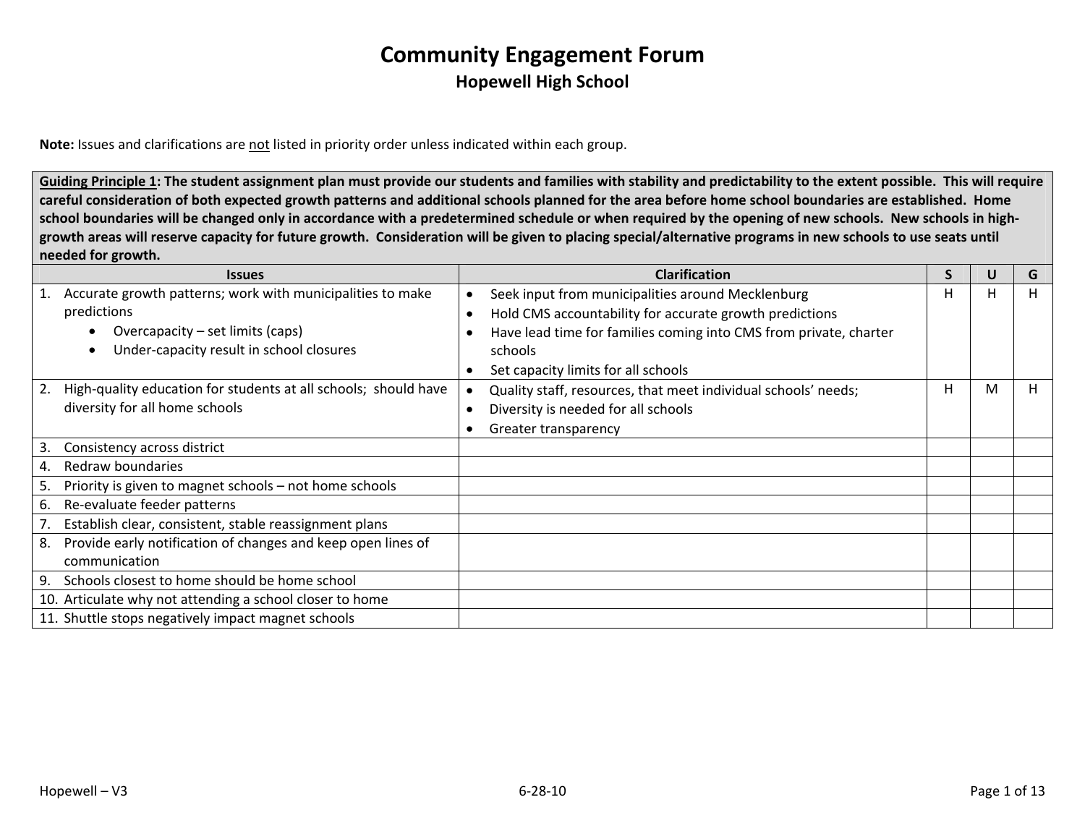**Note:** Issues and clarifications are not listed in priority order unless indicated within each group.

Guiding Principle 1: The student assignment plan must provide our students and families with stability and predictability to the extent possible. This will require careful consideration of both expected growth patterns and additional schools planned for the area before home school boundaries are established. Home school boundaries will be changed only in accordance with a predetermined schedule or when required by the opening of new schools. New schools in highgrowth areas will reserve capacity for future growth. Consideration will be given to placing special/alternative programs in new schools to use seats until **needed for growth.**

|    | <b>Issues</b>                                                   | <b>Clarification</b>                                              | S | U | G  |
|----|-----------------------------------------------------------------|-------------------------------------------------------------------|---|---|----|
|    | Accurate growth patterns; work with municipalities to make      | Seek input from municipalities around Mecklenburg                 | H | H | Ħ. |
|    | predictions                                                     | Hold CMS accountability for accurate growth predictions           |   |   |    |
|    | Overcapacity – set limits (caps)<br>$\bullet$                   | Have lead time for families coming into CMS from private, charter |   |   |    |
|    | Under-capacity result in school closures<br>$\bullet$           | schools                                                           |   |   |    |
|    |                                                                 | Set capacity limits for all schools                               |   |   |    |
| 2. | High-quality education for students at all schools; should have | Quality staff, resources, that meet individual schools' needs;    | н | м | п. |
|    | diversity for all home schools                                  | Diversity is needed for all schools                               |   |   |    |
|    |                                                                 | Greater transparency                                              |   |   |    |
| 3. | Consistency across district                                     |                                                                   |   |   |    |
| 4. | Redraw boundaries                                               |                                                                   |   |   |    |
| 5. | Priority is given to magnet schools - not home schools          |                                                                   |   |   |    |
| 6. | Re-evaluate feeder patterns                                     |                                                                   |   |   |    |
|    | Establish clear, consistent, stable reassignment plans          |                                                                   |   |   |    |
| 8. | Provide early notification of changes and keep open lines of    |                                                                   |   |   |    |
|    | communication                                                   |                                                                   |   |   |    |
| 9. | Schools closest to home should be home school                   |                                                                   |   |   |    |
|    | 10. Articulate why not attending a school closer to home        |                                                                   |   |   |    |
|    | 11. Shuttle stops negatively impact magnet schools              |                                                                   |   |   |    |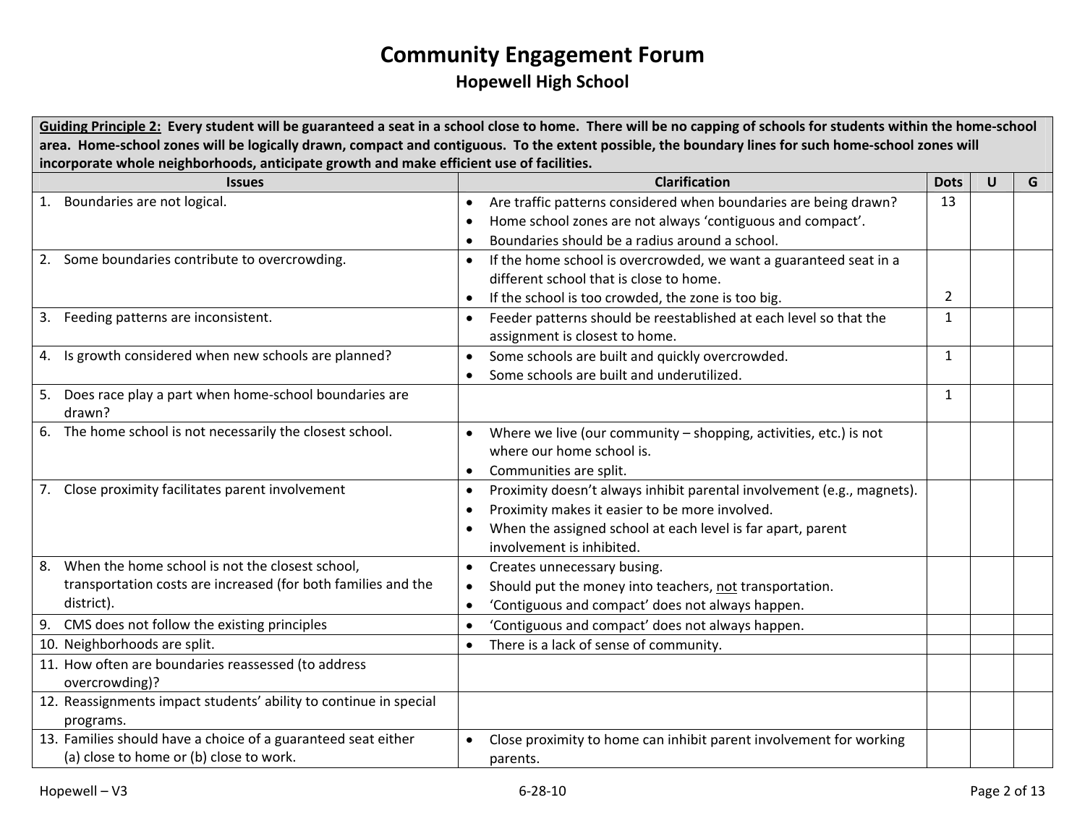Guiding Principle 2: Every student will be guaranteed a seat in a school close to home. There will be no capping of schools for students within the home-school area. Home-school zones will be logically drawn, compact and contiguous. To the extent possible, the boundary lines for such home-school zones will **incorporate whole neighborhoods, anticipate growth and make efficient use of facilities.**

|    | <b>Issues</b>                                                     |           | <b>Clarification</b>                                                   | <b>Dots</b>    | $\mathsf{U}$ | G |
|----|-------------------------------------------------------------------|-----------|------------------------------------------------------------------------|----------------|--------------|---|
|    | 1. Boundaries are not logical.                                    | $\bullet$ | Are traffic patterns considered when boundaries are being drawn?       | 13             |              |   |
|    |                                                                   |           | Home school zones are not always 'contiguous and compact'.             |                |              |   |
|    |                                                                   |           | Boundaries should be a radius around a school.                         |                |              |   |
|    | 2. Some boundaries contribute to overcrowding.                    |           | If the home school is overcrowded, we want a guaranteed seat in a      |                |              |   |
|    |                                                                   |           | different school that is close to home.                                |                |              |   |
|    |                                                                   |           | If the school is too crowded, the zone is too big.                     | $\overline{2}$ |              |   |
| 3. | Feeding patterns are inconsistent.                                | $\bullet$ | Feeder patterns should be reestablished at each level so that the      | $\mathbf{1}$   |              |   |
|    |                                                                   |           | assignment is closest to home.                                         |                |              |   |
|    | 4. Is growth considered when new schools are planned?             |           | Some schools are built and quickly overcrowded.                        | $\mathbf{1}$   |              |   |
|    |                                                                   |           | Some schools are built and underutilized.                              |                |              |   |
|    | 5. Does race play a part when home-school boundaries are          |           |                                                                        | $\mathbf{1}$   |              |   |
|    | drawn?                                                            |           |                                                                        |                |              |   |
|    | 6. The home school is not necessarily the closest school.         |           | Where we live (our community - shopping, activities, etc.) is not      |                |              |   |
|    |                                                                   |           | where our home school is.                                              |                |              |   |
|    |                                                                   | $\bullet$ | Communities are split.                                                 |                |              |   |
|    | 7. Close proximity facilitates parent involvement                 | $\bullet$ | Proximity doesn't always inhibit parental involvement (e.g., magnets). |                |              |   |
|    |                                                                   |           | Proximity makes it easier to be more involved.                         |                |              |   |
|    |                                                                   |           | When the assigned school at each level is far apart, parent            |                |              |   |
|    |                                                                   |           | involvement is inhibited.                                              |                |              |   |
|    | 8. When the home school is not the closest school,                | $\bullet$ | Creates unnecessary busing.                                            |                |              |   |
|    | transportation costs are increased (for both families and the     |           | Should put the money into teachers, not transportation.                |                |              |   |
|    | district).                                                        |           | 'Contiguous and compact' does not always happen.                       |                |              |   |
|    | 9. CMS does not follow the existing principles                    |           | 'Contiguous and compact' does not always happen.                       |                |              |   |
|    | 10. Neighborhoods are split.                                      |           | There is a lack of sense of community.                                 |                |              |   |
|    | 11. How often are boundaries reassessed (to address               |           |                                                                        |                |              |   |
|    | overcrowding)?                                                    |           |                                                                        |                |              |   |
|    | 12. Reassignments impact students' ability to continue in special |           |                                                                        |                |              |   |
|    | programs.                                                         |           |                                                                        |                |              |   |
|    | 13. Families should have a choice of a guaranteed seat either     |           | Close proximity to home can inhibit parent involvement for working     |                |              |   |
|    | (a) close to home or (b) close to work.                           |           | parents.                                                               |                |              |   |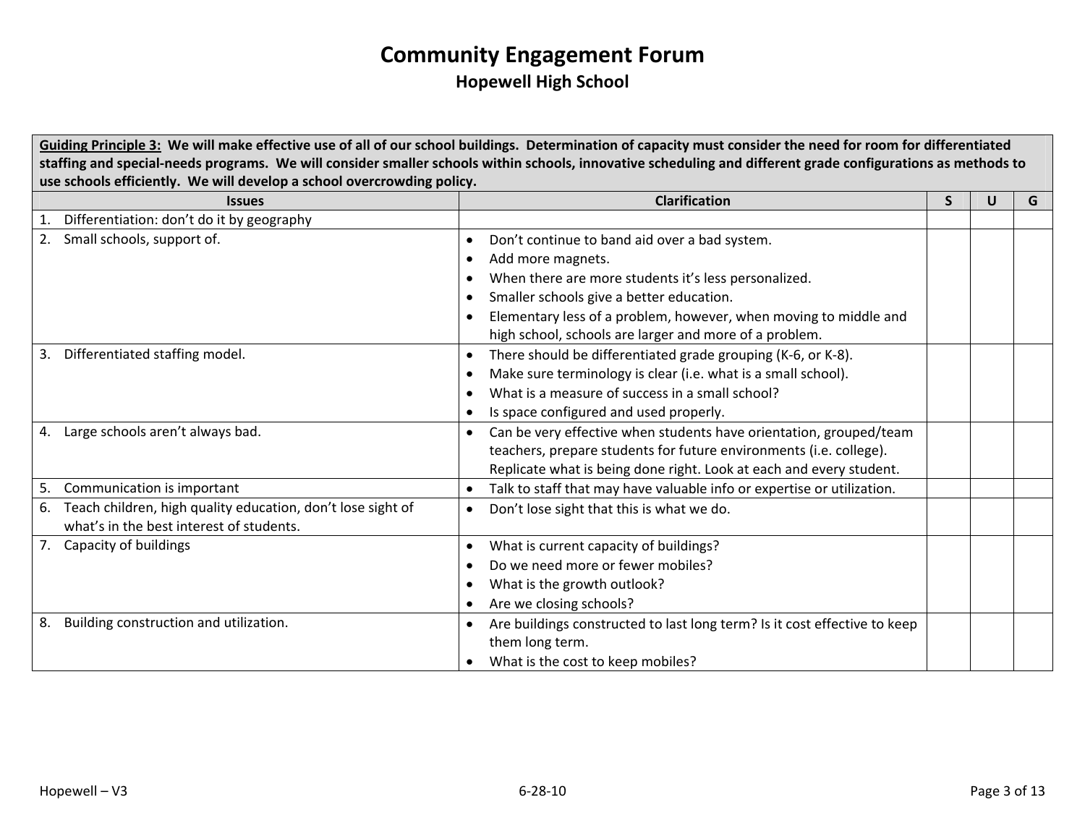Guiding Principle 3: We will make effective use of all of our school buildings. Determination of capacity must consider the need for room for differentiated staffing and special-needs programs. We will consider smaller schools within schools, innovative scheduling and different grade configurations as methods to **use schools efficiently. We will develop <sup>a</sup> school overcrowding policy.**

| <b>Issues</b>                                                     | <b>Clarification</b>                                                            | S | U | G |
|-------------------------------------------------------------------|---------------------------------------------------------------------------------|---|---|---|
| Differentiation: don't do it by geography                         |                                                                                 |   |   |   |
| Small schools, support of.<br>2.                                  | Don't continue to band aid over a bad system.<br>$\bullet$                      |   |   |   |
|                                                                   | Add more magnets.                                                               |   |   |   |
|                                                                   | When there are more students it's less personalized.                            |   |   |   |
|                                                                   | Smaller schools give a better education.                                        |   |   |   |
|                                                                   | Elementary less of a problem, however, when moving to middle and                |   |   |   |
|                                                                   | high school, schools are larger and more of a problem.                          |   |   |   |
| Differentiated staffing model.<br>3.                              | There should be differentiated grade grouping (K-6, or K-8).<br>$\bullet$       |   |   |   |
|                                                                   | Make sure terminology is clear (i.e. what is a small school).                   |   |   |   |
|                                                                   | What is a measure of success in a small school?                                 |   |   |   |
|                                                                   | Is space configured and used properly.                                          |   |   |   |
| Large schools aren't always bad.<br>4.                            | Can be very effective when students have orientation, grouped/team<br>$\bullet$ |   |   |   |
|                                                                   | teachers, prepare students for future environments (i.e. college).              |   |   |   |
|                                                                   | Replicate what is being done right. Look at each and every student.             |   |   |   |
| Communication is important<br>5.                                  | Talk to staff that may have valuable info or expertise or utilization.          |   |   |   |
| Teach children, high quality education, don't lose sight of<br>6. | Don't lose sight that this is what we do.                                       |   |   |   |
| what's in the best interest of students.                          |                                                                                 |   |   |   |
| Capacity of buildings<br>7.                                       | What is current capacity of buildings?                                          |   |   |   |
|                                                                   | Do we need more or fewer mobiles?                                               |   |   |   |
|                                                                   | What is the growth outlook?                                                     |   |   |   |
|                                                                   | Are we closing schools?                                                         |   |   |   |
| Building construction and utilization.<br>8.                      | Are buildings constructed to last long term? Is it cost effective to keep       |   |   |   |
|                                                                   | them long term.                                                                 |   |   |   |
|                                                                   | What is the cost to keep mobiles?                                               |   |   |   |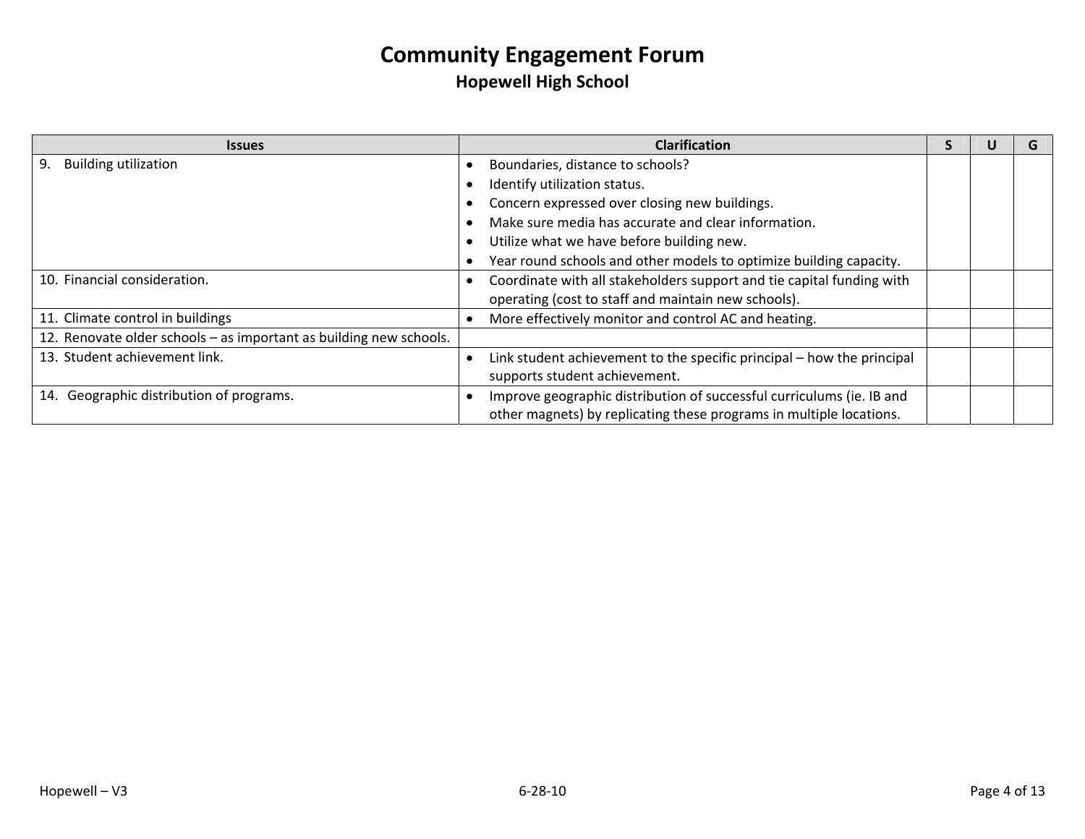| <b>Issues</b>                                                      | <b>Clarification</b>                                                   |  | G |
|--------------------------------------------------------------------|------------------------------------------------------------------------|--|---|
| <b>Building utilization</b><br>9.                                  | Boundaries, distance to schools?                                       |  |   |
|                                                                    | Identify utilization status.                                           |  |   |
|                                                                    | Concern expressed over closing new buildings.                          |  |   |
|                                                                    | Make sure media has accurate and clear information.                    |  |   |
|                                                                    | Utilize what we have before building new.                              |  |   |
|                                                                    | Year round schools and other models to optimize building capacity.     |  |   |
| 10. Financial consideration.                                       | Coordinate with all stakeholders support and tie capital funding with  |  |   |
|                                                                    | operating (cost to staff and maintain new schools).                    |  |   |
| 11. Climate control in buildings                                   | More effectively monitor and control AC and heating.                   |  |   |
| 12. Renovate older schools - as important as building new schools. |                                                                        |  |   |
| 13. Student achievement link.                                      | Link student achievement to the specific principal - how the principal |  |   |
|                                                                    | supports student achievement.                                          |  |   |
| 14. Geographic distribution of programs.                           | Improve geographic distribution of successful curriculums (ie. IB and  |  |   |
|                                                                    | other magnets) by replicating these programs in multiple locations.    |  |   |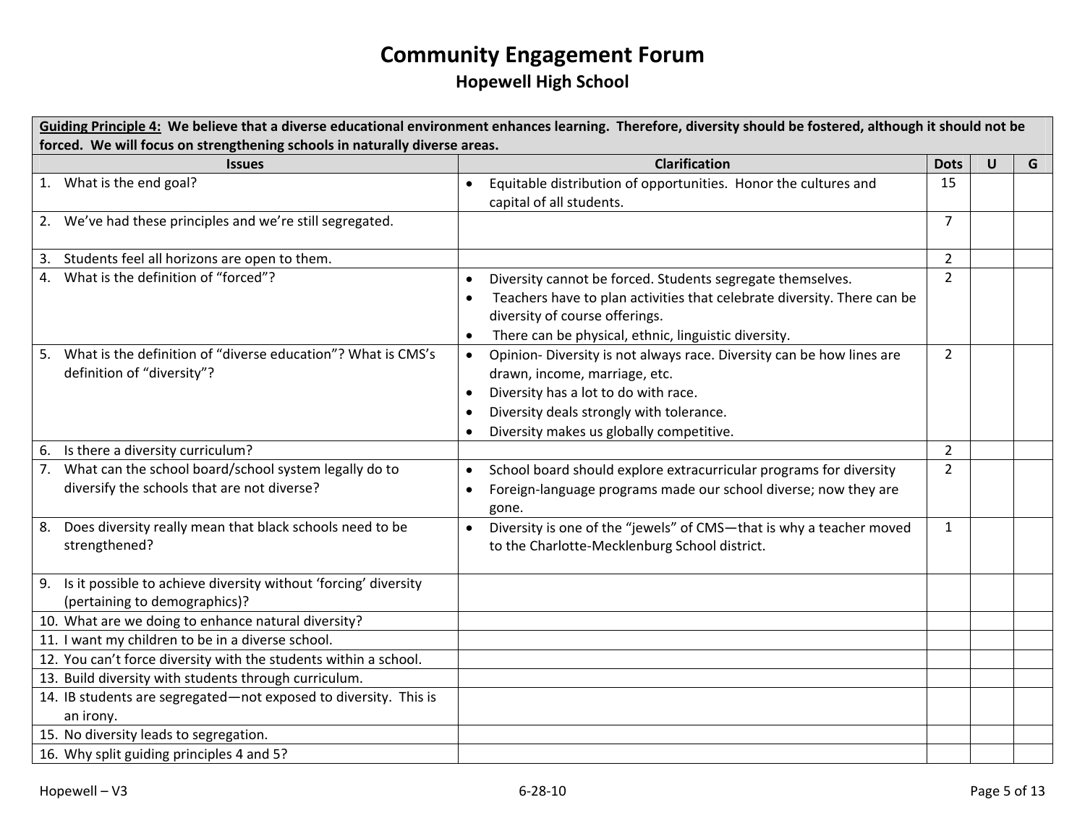| Guiding Principle 4: We believe that a diverse educational environment enhances learning. Therefore, diversity should be fostered, although it should not be |                                                                                    |                |   |   |  |  |
|--------------------------------------------------------------------------------------------------------------------------------------------------------------|------------------------------------------------------------------------------------|----------------|---|---|--|--|
| forced. We will focus on strengthening schools in naturally diverse areas.                                                                                   |                                                                                    |                |   |   |  |  |
| <b>Issues</b>                                                                                                                                                | <b>Clarification</b>                                                               | <b>Dots</b>    | U | G |  |  |
| 1. What is the end goal?                                                                                                                                     | Equitable distribution of opportunities. Honor the cultures and<br>$\bullet$       | 15             |   |   |  |  |
|                                                                                                                                                              | capital of all students.                                                           |                |   |   |  |  |
| 2. We've had these principles and we're still segregated.                                                                                                    |                                                                                    | $\overline{7}$ |   |   |  |  |
| 3. Students feel all horizons are open to them.                                                                                                              |                                                                                    | $\overline{2}$ |   |   |  |  |
| 4. What is the definition of "forced"?                                                                                                                       | Diversity cannot be forced. Students segregate themselves.<br>$\bullet$            | $2^{\circ}$    |   |   |  |  |
|                                                                                                                                                              | Teachers have to plan activities that celebrate diversity. There can be            |                |   |   |  |  |
|                                                                                                                                                              | diversity of course offerings.                                                     |                |   |   |  |  |
|                                                                                                                                                              | There can be physical, ethnic, linguistic diversity.                               |                |   |   |  |  |
| 5. What is the definition of "diverse education"? What is CMS's                                                                                              | Opinion- Diversity is not always race. Diversity can be how lines are<br>$\bullet$ | $\overline{2}$ |   |   |  |  |
| definition of "diversity"?                                                                                                                                   | drawn, income, marriage, etc.                                                      |                |   |   |  |  |
|                                                                                                                                                              | Diversity has a lot to do with race.                                               |                |   |   |  |  |
|                                                                                                                                                              | Diversity deals strongly with tolerance.                                           |                |   |   |  |  |
|                                                                                                                                                              | Diversity makes us globally competitive.                                           |                |   |   |  |  |
| 6. Is there a diversity curriculum?                                                                                                                          |                                                                                    | $\overline{2}$ |   |   |  |  |
| 7. What can the school board/school system legally do to                                                                                                     | School board should explore extracurricular programs for diversity<br>$\bullet$    | $\overline{2}$ |   |   |  |  |
| diversify the schools that are not diverse?                                                                                                                  | Foreign-language programs made our school diverse; now they are                    |                |   |   |  |  |
|                                                                                                                                                              | gone.                                                                              |                |   |   |  |  |
| 8. Does diversity really mean that black schools need to be                                                                                                  | Diversity is one of the "jewels" of CMS-that is why a teacher moved<br>$\bullet$   | $\mathbf{1}$   |   |   |  |  |
| strengthened?                                                                                                                                                | to the Charlotte-Mecklenburg School district.                                      |                |   |   |  |  |
|                                                                                                                                                              |                                                                                    |                |   |   |  |  |
| 9. Is it possible to achieve diversity without 'forcing' diversity                                                                                           |                                                                                    |                |   |   |  |  |
| (pertaining to demographics)?                                                                                                                                |                                                                                    |                |   |   |  |  |
| 10. What are we doing to enhance natural diversity?                                                                                                          |                                                                                    |                |   |   |  |  |
| 11. I want my children to be in a diverse school.                                                                                                            |                                                                                    |                |   |   |  |  |
| 12. You can't force diversity with the students within a school.                                                                                             |                                                                                    |                |   |   |  |  |
| 13. Build diversity with students through curriculum.                                                                                                        |                                                                                    |                |   |   |  |  |
| 14. IB students are segregated-not exposed to diversity. This is                                                                                             |                                                                                    |                |   |   |  |  |
| an irony.                                                                                                                                                    |                                                                                    |                |   |   |  |  |
| 15. No diversity leads to segregation.                                                                                                                       |                                                                                    |                |   |   |  |  |
| 16. Why split guiding principles 4 and 5?                                                                                                                    |                                                                                    |                |   |   |  |  |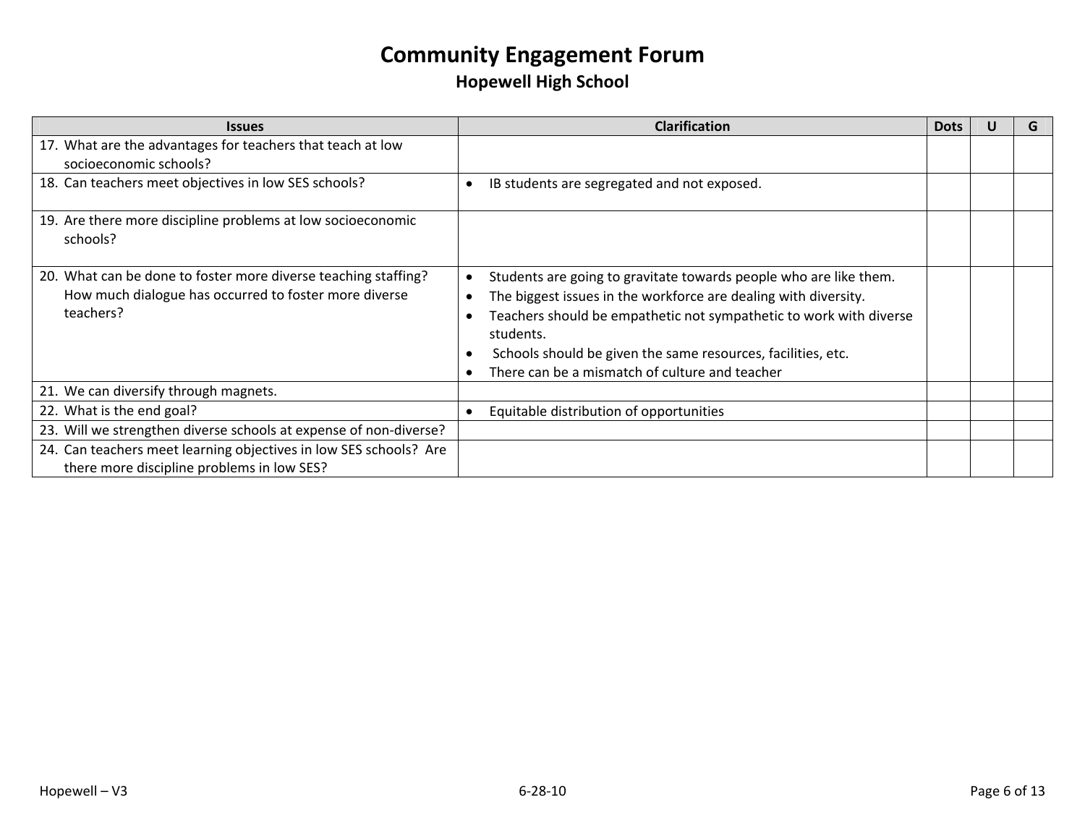| <b>Issues</b>                                                     | <b>Clarification</b>                                               | <b>Dots</b> |  |
|-------------------------------------------------------------------|--------------------------------------------------------------------|-------------|--|
| 17. What are the advantages for teachers that teach at low        |                                                                    |             |  |
| socioeconomic schools?                                            |                                                                    |             |  |
| 18. Can teachers meet objectives in low SES schools?              | IB students are segregated and not exposed.                        |             |  |
|                                                                   |                                                                    |             |  |
| 19. Are there more discipline problems at low socioeconomic       |                                                                    |             |  |
| schools?                                                          |                                                                    |             |  |
|                                                                   |                                                                    |             |  |
| 20. What can be done to foster more diverse teaching staffing?    | Students are going to gravitate towards people who are like them.  |             |  |
| How much dialogue has occurred to foster more diverse             | The biggest issues in the workforce are dealing with diversity.    |             |  |
| teachers?                                                         | Teachers should be empathetic not sympathetic to work with diverse |             |  |
|                                                                   | students.                                                          |             |  |
|                                                                   | Schools should be given the same resources, facilities, etc.       |             |  |
|                                                                   | There can be a mismatch of culture and teacher                     |             |  |
| 21. We can diversify through magnets.                             |                                                                    |             |  |
| 22. What is the end goal?                                         | Equitable distribution of opportunities                            |             |  |
| 23. Will we strengthen diverse schools at expense of non-diverse? |                                                                    |             |  |
| 24. Can teachers meet learning objectives in low SES schools? Are |                                                                    |             |  |
| there more discipline problems in low SES?                        |                                                                    |             |  |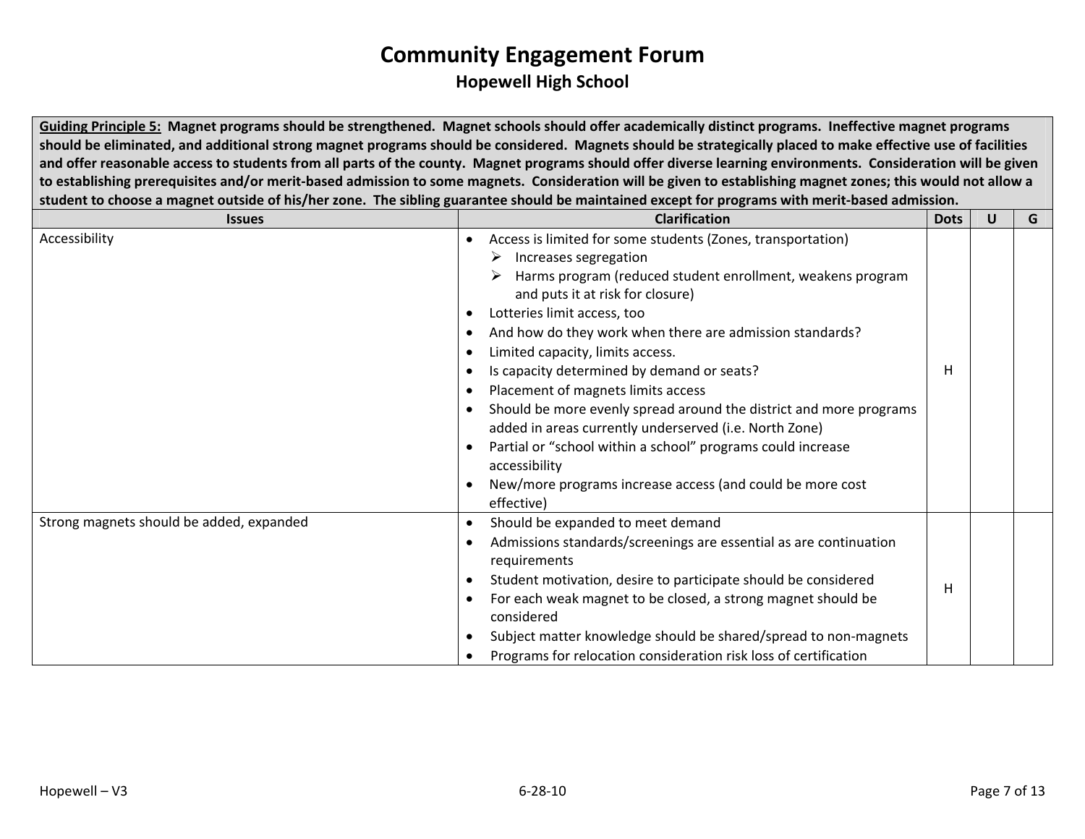Guiding Principle 5: Magnet programs should be strengthened. Magnet schools should offer academically distinct programs. Ineffective magnet programs should be eliminated, and additional strong magnet programs should be considered. Magnets should be strategically placed to make effective use of facilities and offer reasonable access to students from all parts of the county. Magnet programs should offer diverse learning environments. Consideration will be given to establishing prerequisites and/or merit-based admission to some magnets. Consideration will be given to establishing magnet zones; this would not allow a student to choose a magnet outside of his/her zone. The sibling guarantee should be maintained except for programs with merit-based admission.

| <b>Issues</b>                            | <b>Clarification</b>                                                                                                                                                                                                                                                                                                                                                                                                                                                                                                                                                                                                                                                                                                  |    | U | G |
|------------------------------------------|-----------------------------------------------------------------------------------------------------------------------------------------------------------------------------------------------------------------------------------------------------------------------------------------------------------------------------------------------------------------------------------------------------------------------------------------------------------------------------------------------------------------------------------------------------------------------------------------------------------------------------------------------------------------------------------------------------------------------|----|---|---|
| Accessibility                            | Access is limited for some students (Zones, transportation)<br>$\triangleright$ Increases segregation<br>Harms program (reduced student enrollment, weakens program<br>and puts it at risk for closure)<br>Lotteries limit access, too<br>And how do they work when there are admission standards?<br>Limited capacity, limits access.<br>Is capacity determined by demand or seats?<br>Placement of magnets limits access<br>Should be more evenly spread around the district and more programs<br>added in areas currently underserved (i.e. North Zone)<br>Partial or "school within a school" programs could increase<br>accessibility<br>New/more programs increase access (and could be more cost<br>effective) | H. |   |   |
| Strong magnets should be added, expanded | Should be expanded to meet demand<br>Admissions standards/screenings are essential as are continuation<br>requirements<br>Student motivation, desire to participate should be considered<br>For each weak magnet to be closed, a strong magnet should be<br>considered<br>Subject matter knowledge should be shared/spread to non-magnets<br>Programs for relocation consideration risk loss of certification                                                                                                                                                                                                                                                                                                         | н  |   |   |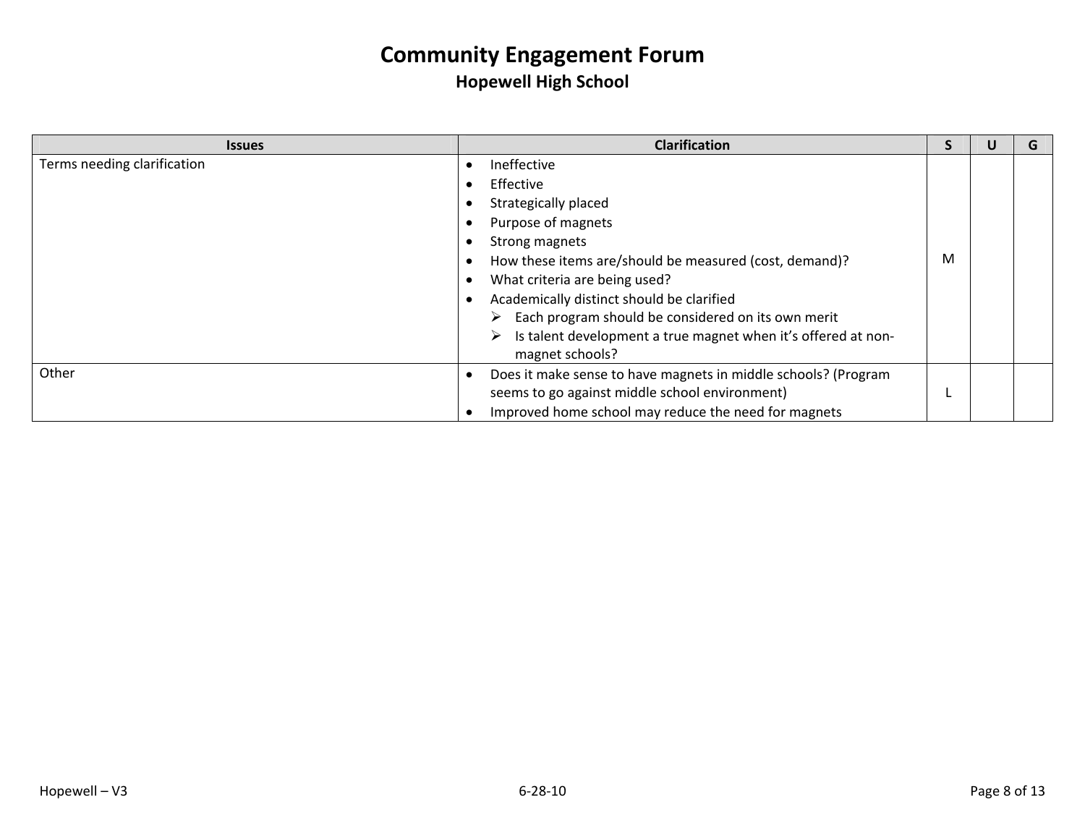| <b>Issues</b>               |   | <b>Clarification</b>                                           |   |  |
|-----------------------------|---|----------------------------------------------------------------|---|--|
| Terms needing clarification |   | Ineffective                                                    |   |  |
|                             |   | Effective                                                      |   |  |
|                             |   | Strategically placed                                           |   |  |
|                             |   | Purpose of magnets                                             |   |  |
|                             |   | Strong magnets                                                 |   |  |
|                             |   | How these items are/should be measured (cost, demand)?         | M |  |
|                             |   | What criteria are being used?                                  |   |  |
|                             |   | Academically distinct should be clarified                      |   |  |
|                             | ➤ | Each program should be considered on its own merit             |   |  |
|                             |   | Is talent development a true magnet when it's offered at non-  |   |  |
|                             |   | magnet schools?                                                |   |  |
| Other                       |   | Does it make sense to have magnets in middle schools? (Program |   |  |
|                             |   | seems to go against middle school environment)                 |   |  |
|                             |   | Improved home school may reduce the need for magnets           |   |  |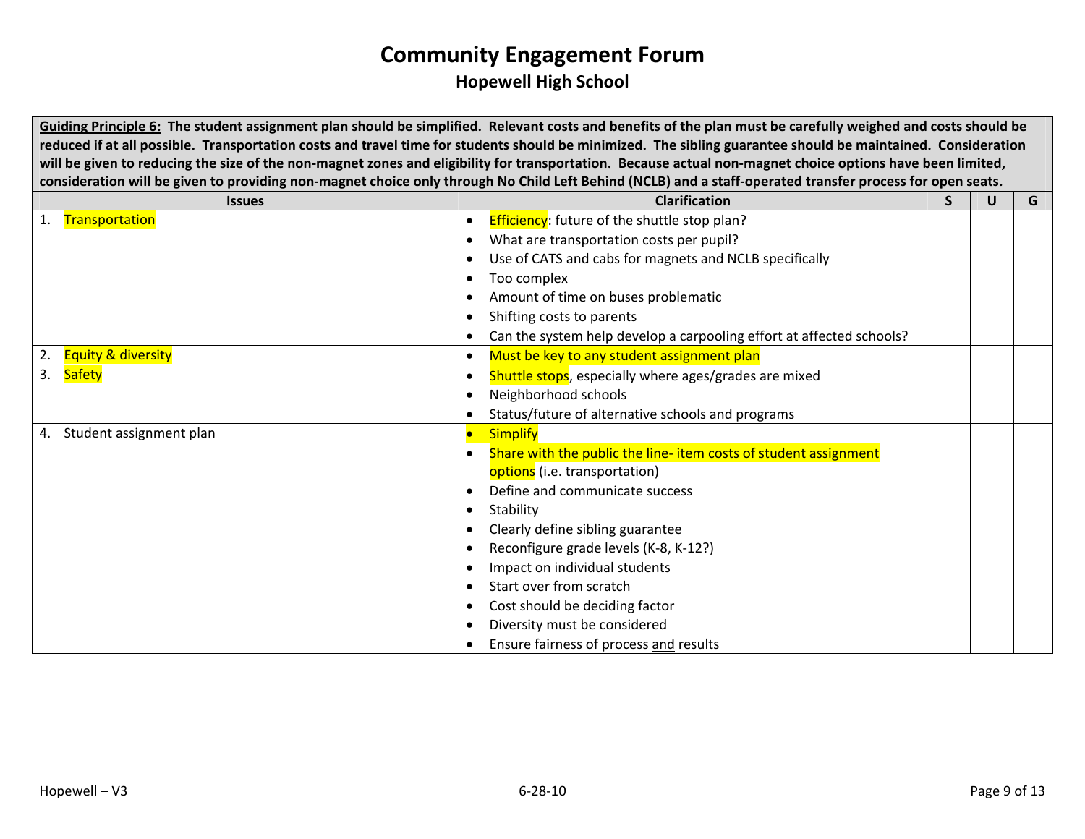Guiding Principle 6: The student assignment plan should be simplified. Relevant costs and benefits of the plan must be carefully weighed and costs should be reduced if at all possible. Transportation costs and travel time for students should be minimized. The sibling guarantee should be maintained. Consideration will be given to reducing the size of the non-magnet zones and eligibility for transportation. Because actual non-magnet choice options have been limited, consideration will be given to providing non-magnet choice only through No Child Left Behind (NCLB) and a staff-operated transfer process for open seats.

| <b>Issues</b>                       | <b>Clarification</b>                                                 | S | U | G |
|-------------------------------------|----------------------------------------------------------------------|---|---|---|
| Transportation<br>1.                | <b>Efficiency:</b> future of the shuttle stop plan?                  |   |   |   |
|                                     | What are transportation costs per pupil?                             |   |   |   |
|                                     | Use of CATS and cabs for magnets and NCLB specifically               |   |   |   |
|                                     | Too complex                                                          |   |   |   |
|                                     | Amount of time on buses problematic                                  |   |   |   |
|                                     | Shifting costs to parents                                            |   |   |   |
|                                     | Can the system help develop a carpooling effort at affected schools? |   |   |   |
| <b>Equity &amp; diversity</b><br>2. | Must be key to any student assignment plan                           |   |   |   |
| 3. Safety                           | Shuttle stops, especially where ages/grades are mixed                |   |   |   |
|                                     | Neighborhood schools                                                 |   |   |   |
|                                     | Status/future of alternative schools and programs                    |   |   |   |
| Student assignment plan<br>4.       | <b>Simplify</b><br>$\bullet$                                         |   |   |   |
|                                     | Share with the public the line- item costs of student assignment     |   |   |   |
|                                     | options (i.e. transportation)                                        |   |   |   |
|                                     | Define and communicate success                                       |   |   |   |
|                                     | Stability                                                            |   |   |   |
|                                     | Clearly define sibling guarantee                                     |   |   |   |
|                                     | Reconfigure grade levels (K-8, K-12?)                                |   |   |   |
|                                     | Impact on individual students                                        |   |   |   |
|                                     | Start over from scratch                                              |   |   |   |
|                                     | Cost should be deciding factor                                       |   |   |   |
|                                     | Diversity must be considered                                         |   |   |   |
|                                     | Ensure fairness of process and results                               |   |   |   |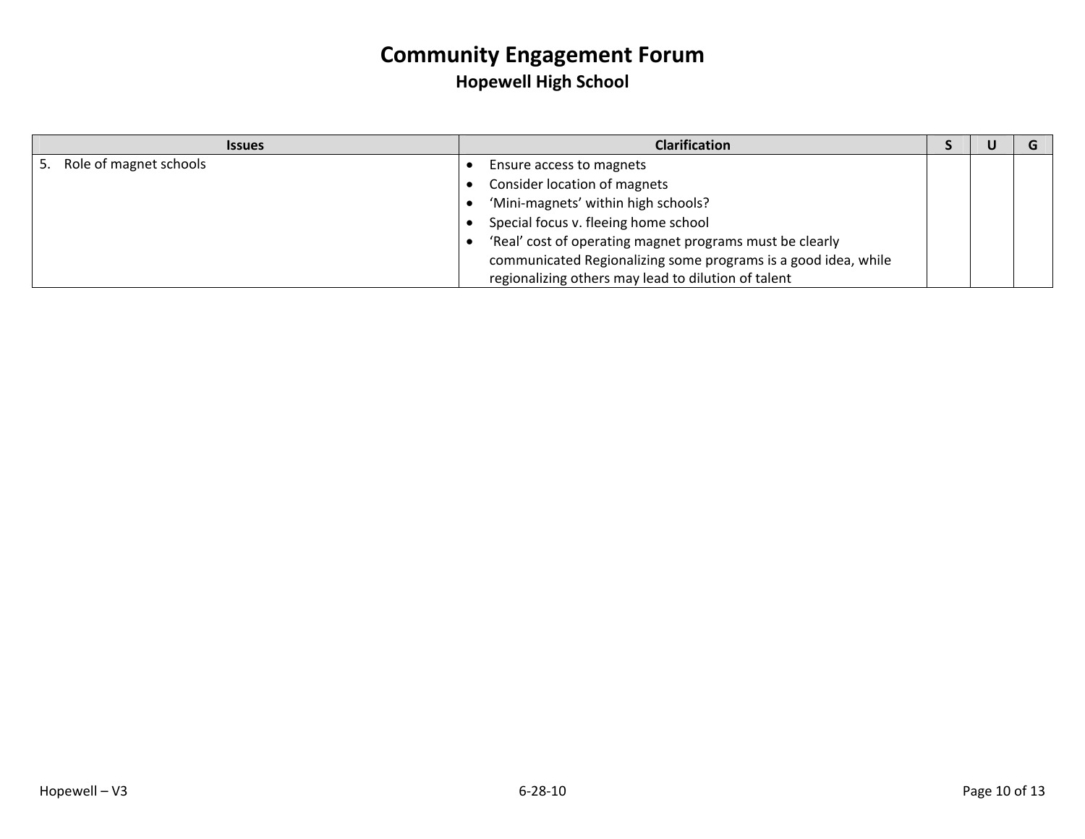| <b>Issues</b>                | <b>Clarification</b>                                           |  |  |
|------------------------------|----------------------------------------------------------------|--|--|
| Role of magnet schools<br>5. | Ensure access to magnets                                       |  |  |
|                              | Consider location of magnets                                   |  |  |
|                              | 'Mini-magnets' within high schools?                            |  |  |
|                              | Special focus v. fleeing home school                           |  |  |
|                              | 'Real' cost of operating magnet programs must be clearly       |  |  |
|                              | communicated Regionalizing some programs is a good idea, while |  |  |
|                              | regionalizing others may lead to dilution of talent            |  |  |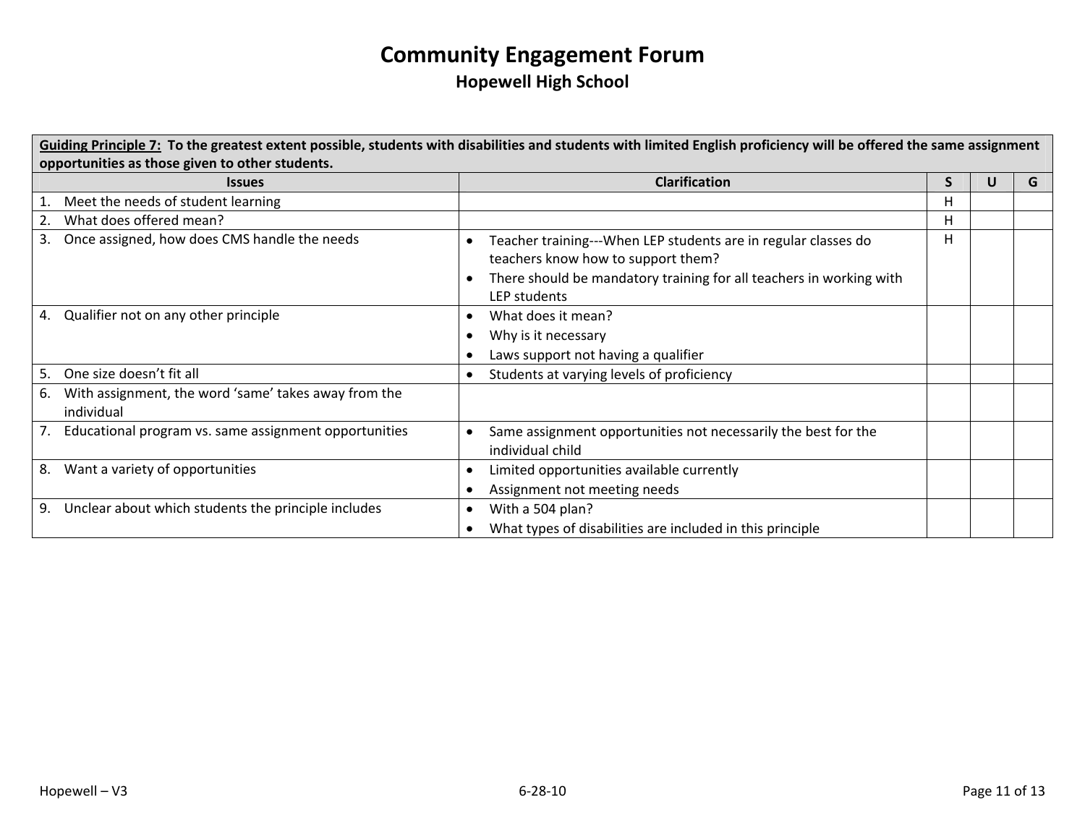| Guiding Principle 7: To the greatest extent possible, students with disabilities and students with limited English proficiency will be offered the same assignment |                                                                                                                                                                                             |    |   |   |  |  |  |
|--------------------------------------------------------------------------------------------------------------------------------------------------------------------|---------------------------------------------------------------------------------------------------------------------------------------------------------------------------------------------|----|---|---|--|--|--|
| opportunities as those given to other students.<br><b>Issues</b>                                                                                                   | <b>Clarification</b>                                                                                                                                                                        | S. | U | G |  |  |  |
| Meet the needs of student learning                                                                                                                                 |                                                                                                                                                                                             | н  |   |   |  |  |  |
| What does offered mean?<br>2.                                                                                                                                      |                                                                                                                                                                                             | н  |   |   |  |  |  |
| Once assigned, how does CMS handle the needs<br>3.                                                                                                                 | Teacher training---When LEP students are in regular classes do<br>teachers know how to support them?<br>There should be mandatory training for all teachers in working with<br>LEP students | н  |   |   |  |  |  |
| 4. Qualifier not on any other principle                                                                                                                            | What does it mean?<br>Why is it necessary<br>Laws support not having a qualifier                                                                                                            |    |   |   |  |  |  |
| One size doesn't fit all<br>5.                                                                                                                                     | Students at varying levels of proficiency<br>$\bullet$                                                                                                                                      |    |   |   |  |  |  |
| With assignment, the word 'same' takes away from the<br>6.<br>individual                                                                                           |                                                                                                                                                                                             |    |   |   |  |  |  |
| 7. Educational program vs. same assignment opportunities                                                                                                           | Same assignment opportunities not necessarily the best for the<br>individual child                                                                                                          |    |   |   |  |  |  |
| Want a variety of opportunities<br>8.                                                                                                                              | Limited opportunities available currently<br>Assignment not meeting needs                                                                                                                   |    |   |   |  |  |  |
| Unclear about which students the principle includes<br>9.                                                                                                          | With a 504 plan?<br>What types of disabilities are included in this principle                                                                                                               |    |   |   |  |  |  |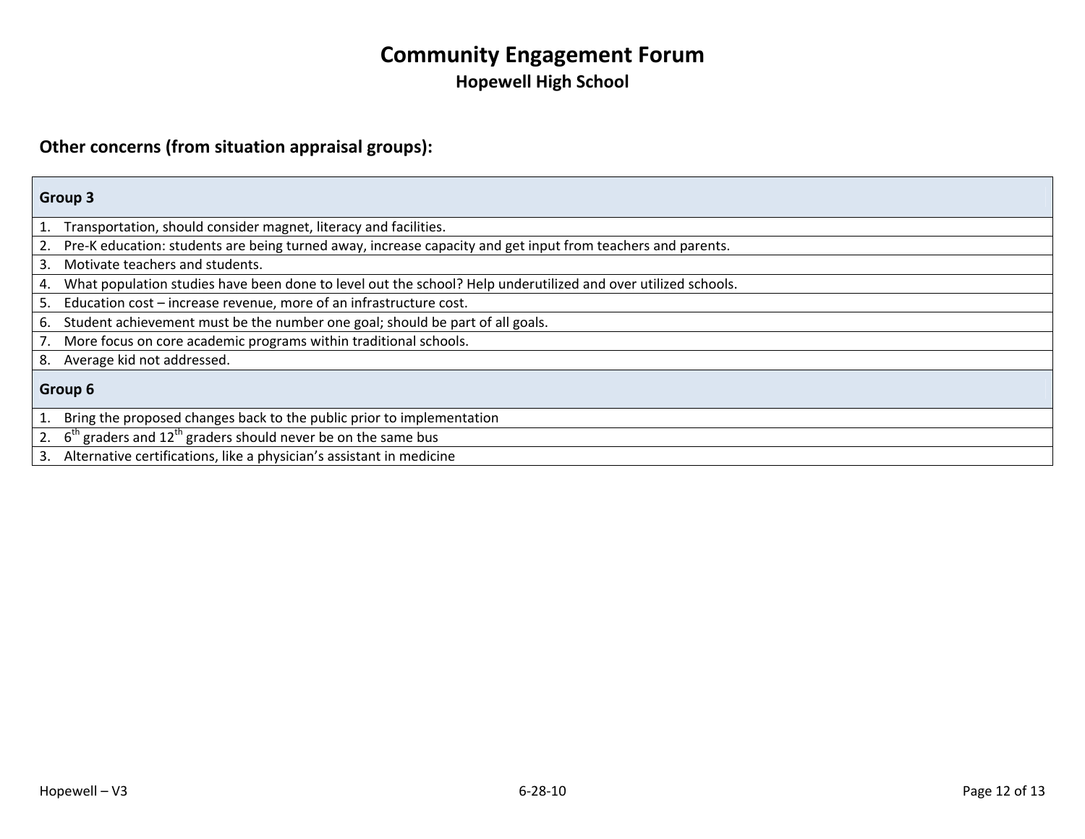#### **Other concerns (from situation appraisal groups):**

# **Group 3**

1. Transportation, should consider magnet, literacy and facilities.

2. Pre‐K education: students are being turned away, increase capacity and get input from teachers and parents.

3. Motivate teachers and students.

4. What population studies have been done to level out the school? Help underutilized and over utilized schools.

5. Education cost – increase revenue, more of an infrastructure cost.

6. Student achievement must be the number one goal; should be part of all goals.

7. More focus on core academic programs within traditional schools.

8. Average kid not addressed.

#### **Group 6**

1. Bring the proposed changes back to the public prior to implementation

2.  $6<sup>th</sup>$  graders and 12<sup>th</sup> graders should never be on the same bus

3. Alternative certifications, like <sup>a</sup> physician's assistant in medicine